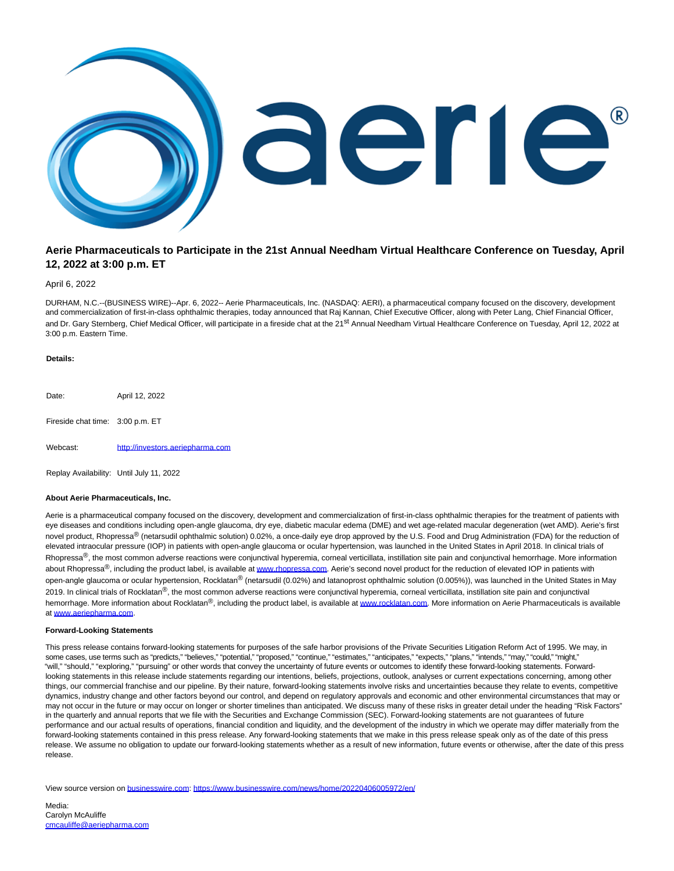

# **Aerie Pharmaceuticals to Participate in the 21st Annual Needham Virtual Healthcare Conference on Tuesday, April 12, 2022 at 3:00 p.m. ET**

## April 6, 2022

DURHAM, N.C.--(BUSINESS WIRE)--Apr. 6, 2022-- Aerie Pharmaceuticals, Inc. (NASDAQ: AERI), a pharmaceutical company focused on the discovery, development and commercialization of first-in-class ophthalmic therapies, today announced that Raj Kannan, Chief Executive Officer, along with Peter Lang, Chief Financial Officer, and Dr. Gary Sternberg, Chief Medical Officer, will participate in a fireside chat at the 21<sup>st</sup> Annual Needham Virtual Healthcare Conference on Tuesday, April 12, 2022 at 3:00 p.m. Eastern Time.

#### **Details:**

Date: April 12, 2022 Fireside chat time: 3:00 p.m. ET Webcast: [http://investors.aeriepharma.com](https://cts.businesswire.com/ct/CT?id=smartlink&url=http%3A%2F%2Finvestors.aeriepharma.com&esheet=52662241&newsitemid=20220406005972&lan=en-US&anchor=http%3A%2F%2Finvestors.aeriepharma.com&index=1&md5=4e5b397a9c97469c2e739b771082f0f4)

Replay Availability: Until July 11, 2022

# **About Aerie Pharmaceuticals, Inc.**

Aerie is a pharmaceutical company focused on the discovery, development and commercialization of first-in-class ophthalmic therapies for the treatment of patients with eye diseases and conditions including open-angle glaucoma, dry eye, diabetic macular edema (DME) and wet age-related macular degeneration (wet AMD). Aerie's first novel product, Rhopressa<sup>®</sup> (netarsudil ophthalmic solution) 0.02%, a once-daily eye drop approved by the U.S. Food and Drug Administration (FDA) for the reduction of elevated intraocular pressure (IOP) in patients with open-angle glaucoma or ocular hypertension, was launched in the United States in April 2018. In clinical trials of Rhopressa<sup>®</sup>, the most common adverse reactions were conjunctival hyperemia, corneal verticillata, instillation site pain and conjunctival hemorrhage. More information about Rhopressa®, including the product label, is available at [www.rhopressa.com.](https://cts.businesswire.com/ct/CT?id=smartlink&url=http%3A%2F%2Fwww.rhopressa.com&esheet=52662241&newsitemid=20220406005972&lan=en-US&anchor=www.rhopressa.com&index=2&md5=8df6a808e12c3fb77b6cb944591025e9) Aerie's second novel product for the reduction of elevated IOP in patients with open-angle glaucoma or ocular hypertension, Rocklatan® (netarsudil (0.02%) and latanoprost ophthalmic solution (0.005%)), was launched in the United States in May 2019. In clinical trials of Rocklatan®, the most common adverse reactions were conjunctival hyperemia, corneal verticillata, instillation site pain and conjunctival hemorrhage. More information about Rocklatan®, including the product label, is available a[t www.rocklatan.com.](https://cts.businesswire.com/ct/CT?id=smartlink&url=http%3A%2F%2Fwww.rocklatan.com&esheet=52662241&newsitemid=20220406005972&lan=en-US&anchor=www.rocklatan.com&index=3&md5=94c2444f55f3542f40265660f6e123fe) More information on Aerie Pharmaceuticals is available a[t www.aeriepharma.com.](https://cts.businesswire.com/ct/CT?id=smartlink&url=http%3A%2F%2Fwww.aeriepharma.com&esheet=52662241&newsitemid=20220406005972&lan=en-US&anchor=www.aeriepharma.com&index=4&md5=454bb989c6995631e32fe32c3594c620)

## **Forward-Looking Statements**

This press release contains forward-looking statements for purposes of the safe harbor provisions of the Private Securities Litigation Reform Act of 1995. We may, in some cases, use terms such as "predicts," "believes," "potential," "proposed," "continue," "estimates," "anticipates," "expects," "plans," "intends," "may," "could," "might," "will," "should," "exploring," "pursuing" or other words that convey the uncertainty of future events or outcomes to identify these forward-looking statements. Forwardlooking statements in this release include statements regarding our intentions, beliefs, projections, outlook, analyses or current expectations concerning, among other things, our commercial franchise and our pipeline. By their nature, forward-looking statements involve risks and uncertainties because they relate to events, competitive dynamics, industry change and other factors beyond our control, and depend on regulatory approvals and economic and other environmental circumstances that may or may not occur in the future or may occur on longer or shorter timelines than anticipated. We discuss many of these risks in greater detail under the heading "Risk Factors" in the quarterly and annual reports that we file with the Securities and Exchange Commission (SEC). Forward-looking statements are not guarantees of future performance and our actual results of operations, financial condition and liquidity, and the development of the industry in which we operate may differ materially from the forward-looking statements contained in this press release. Any forward-looking statements that we make in this press release speak only as of the date of this press release. We assume no obligation to update our forward-looking statements whether as a result of new information, future events or otherwise, after the date of this press release.

View source version on [businesswire.com:](http://businesswire.com/)<https://www.businesswire.com/news/home/20220406005972/en/>

Media: Carolyn McAuliffe [cmcauliffe@aeriepharma.com](mailto:cmcauliffe@aeriepharma.com)